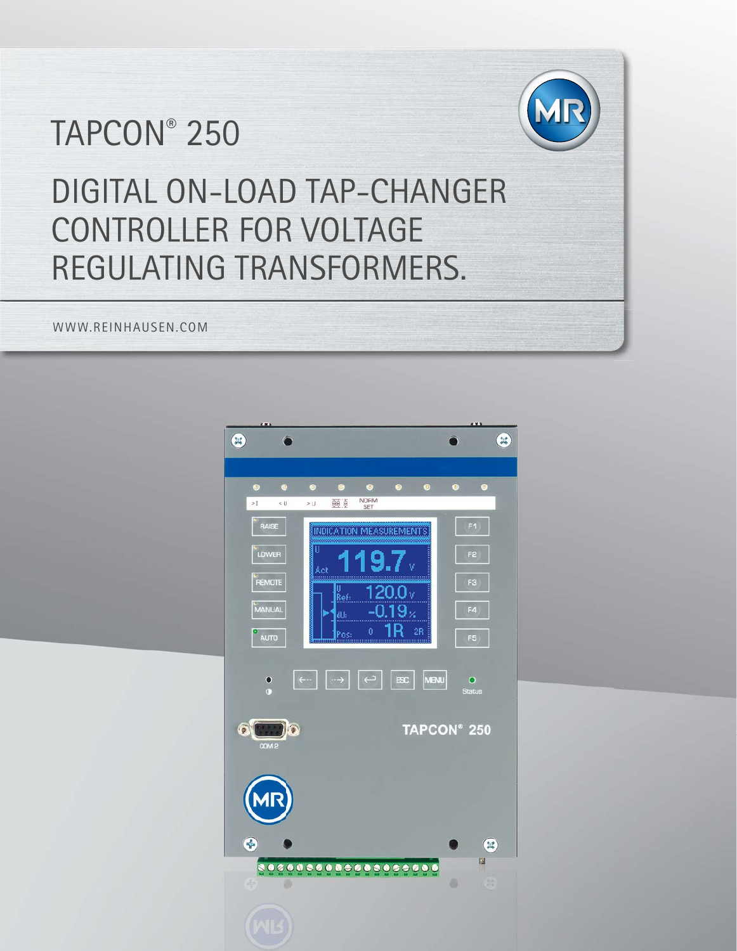# TAPCON® 250



DIGITAL ON-LOAD TAP-CHANGER CONTROLLER FOR VOLTAGE REGULATING TRANSFORMERS.

WWW.REINHAUSEN.COM

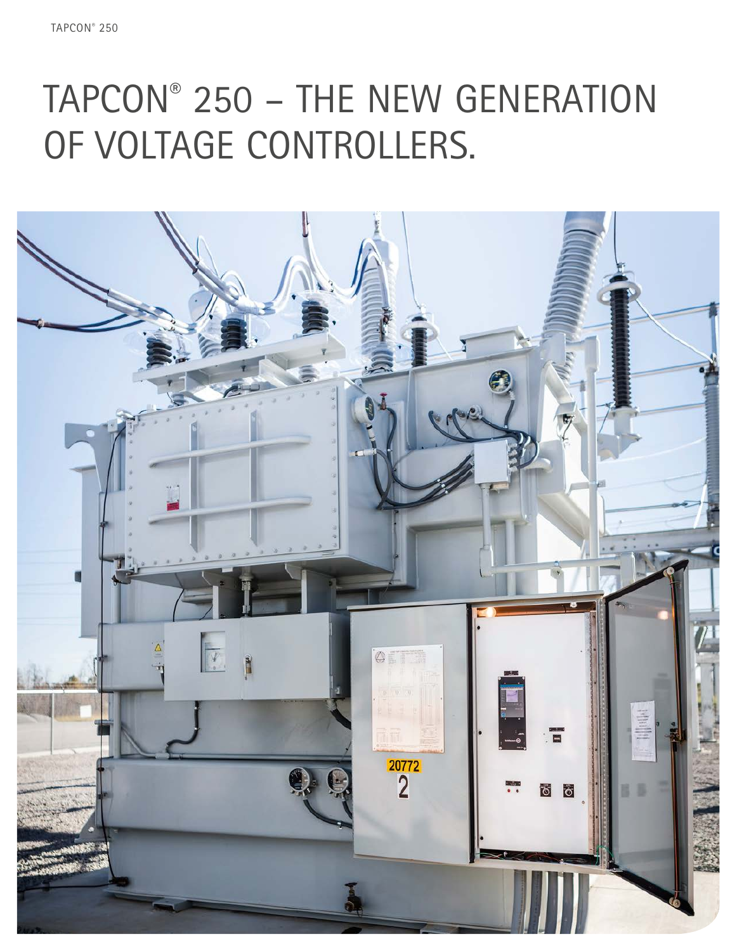# TAPCON® 250 – THE NEW GENERATION OF VOLTAGE CONTROLLERS.

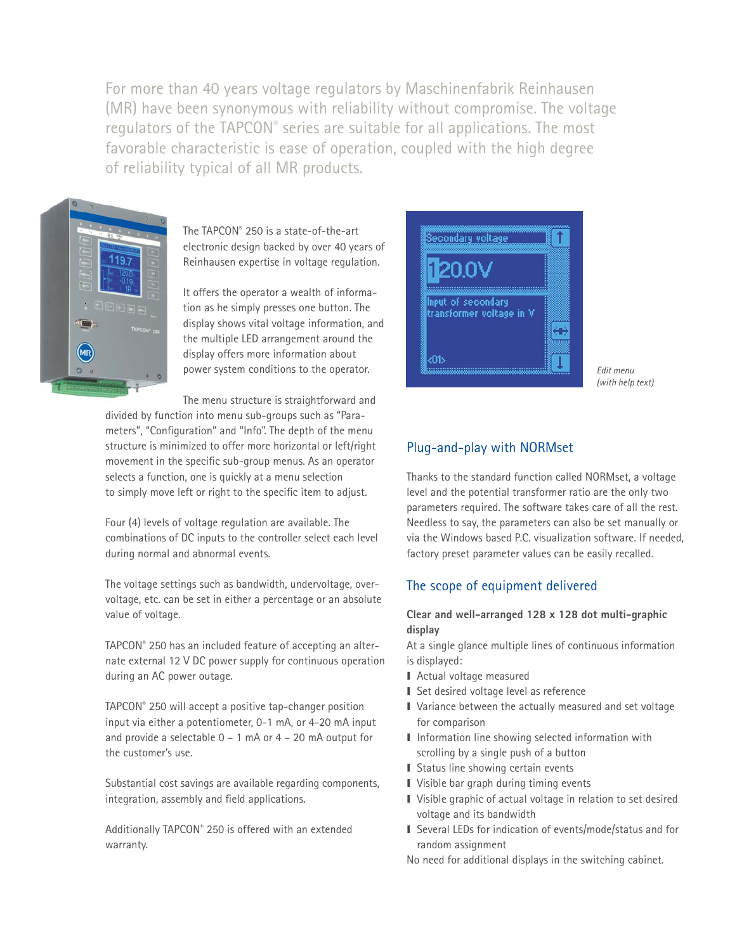For more than 40 years voltage regulators by Maschinenfabrik Reinhausen (MR) have been synonymous with reliability without compromise. The voltage regulators of the TAPCON® series are suitable for all applications. The most favorable characteristic is ease of operation, coupled with the high degree of reliability typical of all MR products.



The TAPCON® 250 is a state-of-the-art electronic design backed by over 40 years of Reinhausen expertise in voltage regulation.

It offers the operator a wealth of information as he simply presses one button. The display shows vital voltage information, and the multiple LED arrangement around the display offers more information about power system conditions to the operator.

The menu structure is straightforward and

divided by function into menu sub-groups such as "Parameters", "Configuration" and "Info". The depth of the menu structure is minimized to offer more horizontal or left/right movement in the specific sub-group menus. As an operator selects a function, one is quickly at a menu selection to simply move left or right to the specific item to adjust.

Four (4) levels of voltage regulation are available. The combinations of DC inputs to the controller select each level during normal and abnormal events.

The voltage settings such as bandwidth, undervoltage, overvoltage, etc. can be set in either a percentage or an absolute value of voltage.

TAPCON® 250 has an included feature of accepting an alternate external 12 V DC power supply for continuous operation during an AC power outage.

TAPCON® 250 will accept a positive tap-changer position input via either a potentiometer, 0-1 mA, or 4-20 mA input and provide a selectable  $0 - 1$  mA or  $4 - 20$  mA output for the customer's use.

Substantial cost savings are available regarding components, integration, assembly and field applications.

Additionally TAPCON® 250 is offered with an extended warranty.



*Edit menu (with help text)*

# Plug-and-play with NORMset

Thanks to the standard function called NORMset, a voltage level and the potential transformer ratio are the only two parameters required. The software takes care of all the rest. Needless to say, the parameters can also be set manually or via the Windows based P.C. visualization software. If needed, factory preset parameter values can be easily recalled.

## The scope of equipment delivered

#### **Clear and well-arranged 128 x 128 dot multi-graphic display**

At a single glance multiple lines of continuous information is displayed:

- I Actual voltage measured
- Set desired voltage level as reference
- I Variance between the actually measured and set voltage for comparison
- I Information line showing selected information with scrolling by a single push of a button
- I Status line showing certain events
- I Visible bar graph during timing events
- I Visible graphic of actual voltage in relation to set desired voltage and its bandwidth
- I Several LEDs for indication of events/mode/status and for random assignment

No need for additional displays in the switching cabinet.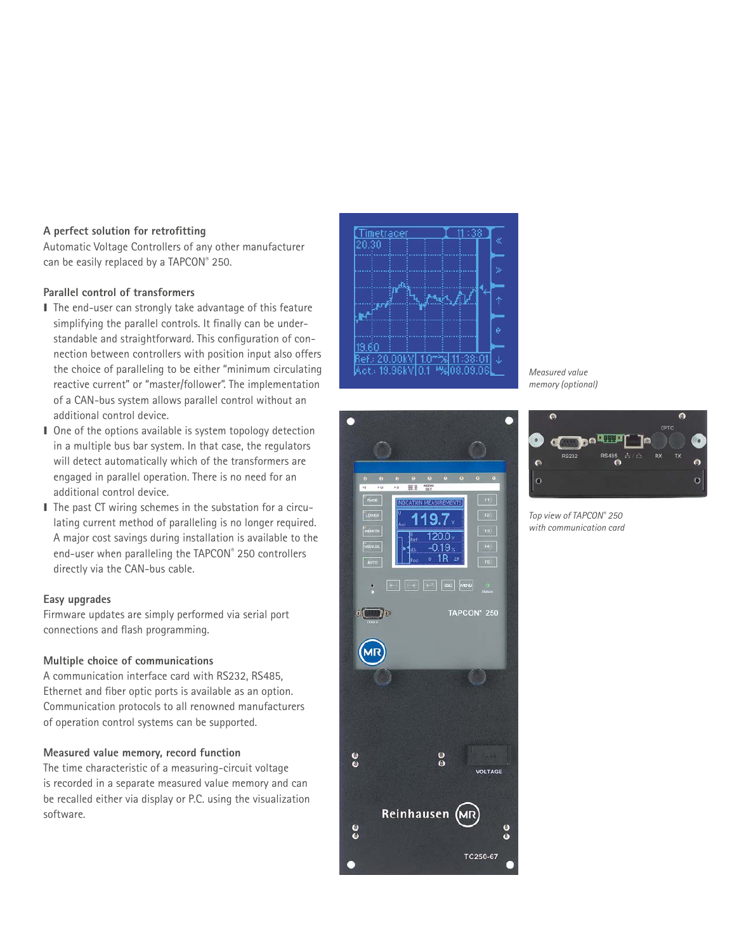#### **A perfect solution for retrofitting**

Automatic Voltage Controllers of any other manufacturer can be easily replaced by a TAPCON® 250.

#### **Parallel control of transformers**

- I The end-user can strongly take advantage of this feature simplifying the parallel controls. It finally can be understandable and straightforward. This configuration of connection between controllers with position input also offers the choice of paralleling to be either "minimum circulating reactive current" or "master/follower". The implementation of a CAN-bus system allows parallel control without an additional control device.
- I One of the options available is system topology detection in a multiple bus bar system. In that case, the regulators will detect automatically which of the transformers are engaged in parallel operation. There is no need for an additional control device.
- I The past CT wiring schemes in the substation for a circulating current method of paralleling is no longer required. A major cost savings during installation is available to the end-user when paralleling the TAPCON® 250 controllers directly via the CAN-bus cable.

#### **Easy upgrades**

Firmware updates are simply performed via serial port connections and flash programming.

#### **Multiple choice of communications**

A communication interface card with RS232, RS485, Ethernet and fiber optic ports is available as an option. Communication protocols to all renowned manufacturers of operation control systems can be supported.

#### **Measured value memory, record function**

The time characteristic of a measuring-circuit voltage is recorded in a separate measured value memory and can be recalled either via display or P.C. using the visualization software.





*Measured value memory (optional)*



*Top view of TAPCON® 250 with communication card*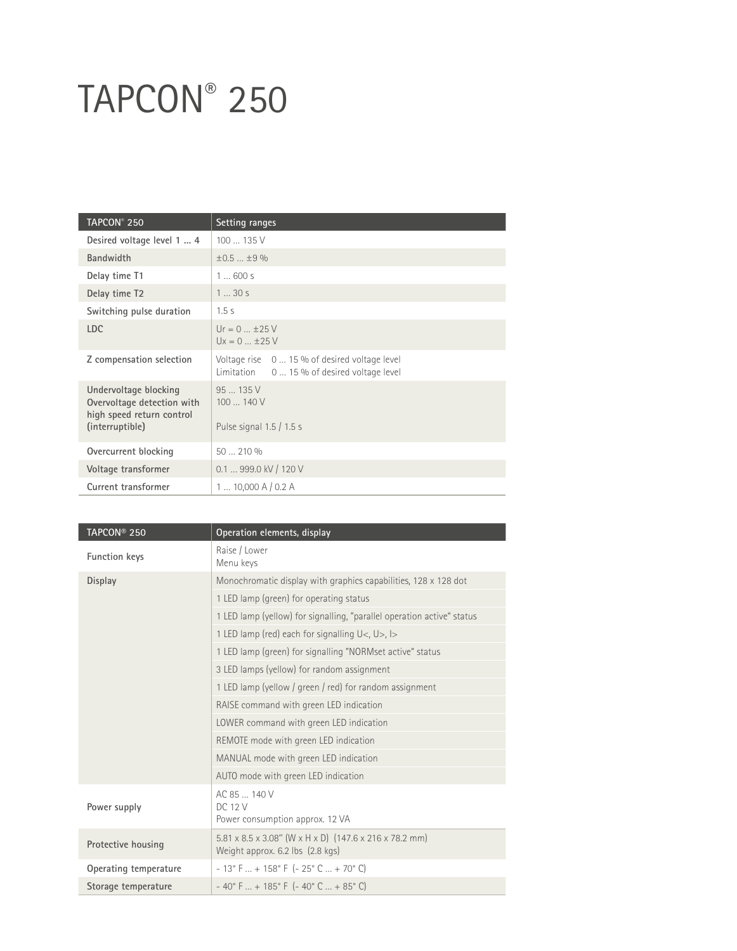# TAPCON® 250

| TAPCON <sup>®</sup> 250                                                                             | Setting ranges                                                                               |
|-----------------------------------------------------------------------------------------------------|----------------------------------------------------------------------------------------------|
| Desired voltage level 1  4                                                                          | 100  135 V                                                                                   |
| <b>Bandwidth</b>                                                                                    | $\pm 0.5$ $+ 9\%$                                                                            |
| Delay time T1                                                                                       | 1600s                                                                                        |
| Delay time T2                                                                                       | 130s                                                                                         |
| Switching pulse duration                                                                            | 1.5s                                                                                         |
| LDC.                                                                                                | $Ur = 0  +25 V$<br>$Ux = 0  \pm 25 V$                                                        |
| Z compensation selection                                                                            | Voltage rise 0  15 % of desired voltage level<br>Limitation 0  15 % of desired voltage level |
| Undervoltage blocking<br>Overvoltage detection with<br>high speed return control<br>(interruptible) | 95135V<br>100140V<br>Pulse signal 1.5 / 1.5 s                                                |
| Overcurrent blocking                                                                                | 50  210 %                                                                                    |
| Voltage transformer                                                                                 | $0.1$ 999.0 kV / 120 V                                                                       |
| Current transformer                                                                                 | 110,000A/0.2A                                                                                |

| TAPCON <sup>®</sup> 250 | Operation elements, display                                             |
|-------------------------|-------------------------------------------------------------------------|
| Function keys           | Raise / Lower<br>Menu keys                                              |
| <b>Display</b>          | Monochromatic display with graphics capabilities, 128 x 128 dot         |
|                         | 1 LED lamp (green) for operating status                                 |
|                         | 1 LED lamp (yellow) for signalling, "parallel operation active" status  |
|                         | 1 LED lamp (red) each for signalling U<, U>, I>                         |
|                         | 1 LED lamp (green) for signalling "NORMset active" status               |
|                         | 3 LED lamps (yellow) for random assignment                              |
|                         | 1 LED lamp (yellow / green / red) for random assignment                 |
|                         | RAISE command with green LED indication                                 |
|                         | LOWER command with green LED indication                                 |
|                         | REMOTE mode with green LED indication                                   |
|                         | MANUAL mode with green LED indication                                   |
|                         | AUTO mode with green LED indication                                     |
| Power supply            | AC 85  140 V<br><b>DC 12 V</b><br>Power consumption approx. 12 VA       |
| Protective housing      | 5.81 x 8.5 x 3.08" (W x H x D) (147.6 x 216 x 78.2 mm)                  |
|                         | Weight approx. 6.2 lbs (2.8 kgs)                                        |
| Operating temperature   | $-13^{\circ}$ F  + 158° F ( $-25^{\circ}$ C  + 70° C)                   |
| Storage temperature     | $-40^{\circ}$ F $ + 185^{\circ}$ F ( $-40^{\circ}$ C $ + 85^{\circ}$ C) |